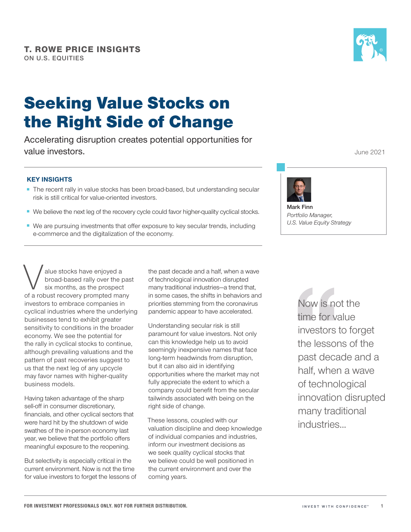# Seeking Value Stocks on the Right Side of Change

Accelerating disruption creates potential opportunities for value investors.

### **KEY INSIGHTS**

- The recent rally in value stocks has been broad-based, but understanding secular risk is still critical for value‑oriented investors.
- We believe the next leg of the recovery cycle could favor higher-quality cyclical stocks.
- We are pursuing investments that offer exposure to key secular trends, including e-commerce and the digitalization of the economy.

Next alue stocks have enjoyed a<br>
broad-based rally over the pas<br>
six months, as the prospect<br>
of a robust recovery prompted many broad‑based rally over the past six months, as the prospect investors to embrace companies in cyclical industries where the underlying businesses tend to exhibit greater sensitivity to conditions in the broader economy. We see the potential for the rally in cyclical stocks to continue, although prevailing valuations and the pattern of past recoveries suggest to us that the next leg of any upcycle may favor names with higher-quality business models.

Having taken advantage of the sharp sell-off in consumer discretionary, financials, and other cyclical sectors that were hard hit by the shutdown of wide swathes of the in‑person economy last year, we believe that the portfolio offers meaningful exposure to the reopening.

But selectivity is especially critical in the current environment. Now is not the time for value investors to forget the lessons of the past decade and a half, when a wave of technological innovation disrupted many traditional industries—a trend that, in some cases, the shifts in behaviors and priorities stemming from the coronavirus pandemic appear to have accelerated.

Understanding secular risk is still paramount for value investors. Not only can this knowledge help us to avoid seemingly inexpensive names that face long-term headwinds from disruption, but it can also aid in identifying opportunities where the market may not fully appreciate the extent to which a company could benefit from the secular tailwinds associated with being on the right side of change.

These lessons, coupled with our valuation discipline and deep knowledge of individual companies and industries, inform our investment decisions as we seek quality cyclical stocks that we believe could be well positioned in the current environment and over the coming years.

Now is not the time for value investors to forget the lessons of the past decade and a half, when a wave of technological innovation disrupted many traditional industries...



June 2021



**Mark Finn** *Portfolio Manager, U.S. Value Equity Strategy*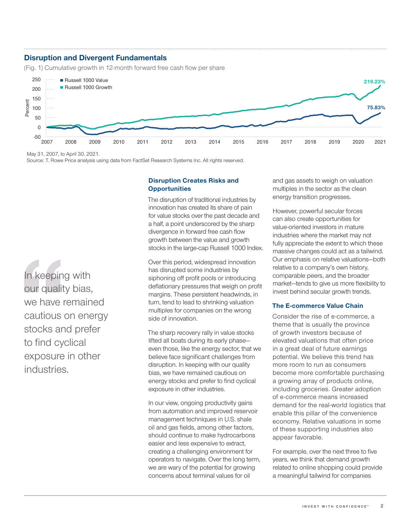# **Disruption and Divergent Fundamentals**

(Fig. 1) Cumulative growth in 12-month forward free cash flow per share



May 31, 2007, to April 30, 2021.

Source: T. Rowe Price analysis using data from FactSet Research Systems Inc. All rights reserved.

# **Disruption Creates Risks and Opportunities**

The disruption of traditional industries by innovation has created its share of pain for value stocks over the past decade and a half, a point underscored by the sharp divergence in forward free cash flow growth between the value and growth stocks in the large-cap Russell 1000 Index.

Over this period, widespread innovation has disrupted some industries by siphoning off profit pools or introducing deflationary pressures that weigh on profit margins. These persistent headwinds, in turn, tend to lead to shrinking valuation multiples for companies on the wrong side of innovation.

The sharp recovery rally in value stocks lifted all boats during its early phase even those, like the energy sector, that we believe face significant challenges from disruption. In keeping with our quality bias, we have remained cautious on energy stocks and prefer to find cyclical exposure in other industries.

In our view, ongoing productivity gains from automation and improved reservoir management techniques in U.S. shale oil and gas fields, among other factors, should continue to make hydrocarbons easier and less expensive to extract, creating a challenging environment for operators to navigate. Over the long term, we are wary of the potential for growing concerns about terminal values for oil

and gas assets to weigh on valuation multiples in the sector as the clean energy transition progresses.

However, powerful secular forces can also create opportunities for value‑oriented investors in mature industries where the market may not fully appreciate the extent to which these massive changes could act as a tailwind. Our emphasis on relative valuations—both relative to a company's own history, comparable peers, and the broader market—tends to give us more flexibility to invest behind secular growth trends.

#### **The E‑commerce Value Chain**

Consider the rise of e‑commerce, a theme that is usually the province of growth investors because of elevated valuations that often price in a great deal of future earnings potential. We believe this trend has more room to run as consumers become more comfortable purchasing a growing array of products online, including groceries. Greater adoption of e‑commerce means increased demand for the real‑world logistics that enable this pillar of the convenience economy. Relative valuations in some of these supporting industries also appear favorable.

For example, over the next three to five years, we think that demand growth related to online shopping could provide a meaningful tailwind for companies

In keeping with our quality bias, we have remained cautious on energy stocks and prefer to find cyclical exposure in other industries.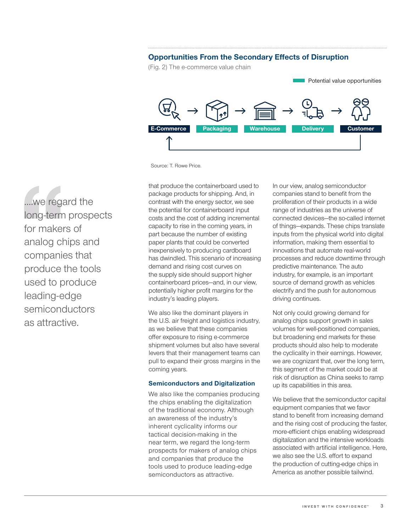## **Opportunities From the Secondary Effects of Disruption**

(Fig. 2) The e-commerce value chain



Source: T. Rowe Price.

....we regard the long‑term prospects for makers of analog chips and companies that produce the tools used to produce leading‑edge semiconductors as attractive.

that produce the containerboard used to package products for shipping. And, in contrast with the energy sector, we see the potential for containerboard input costs and the cost of adding incremental capacity to rise in the coming years, in part because the number of existing paper plants that could be converted inexpensively to producing cardboard has dwindled. This scenario of increasing demand and rising cost curves on the supply side should support higher containerboard prices—and, in our view, potentially higher profit margins for the industry's leading players.

We also like the dominant players in the U.S. air freight and logistics industry, as we believe that these companies offer exposure to rising e‑commerce shipment volumes but also have several levers that their management teams can pull to expand their gross margins in the coming years.

#### **Semiconductors and Digitalization**

We also like the companies producing the chips enabling the digitalization of the traditional economy. Although an awareness of the industry's inherent cyclicality informs our tactical decision‑making in the near term, we regard the long-term prospects for makers of analog chips and companies that produce the tools used to produce leading‑edge semiconductors as attractive.

In our view, analog semiconductor companies stand to benefit from the proliferation of their products in a wide range of industries as the universe of connected devices—the so‑called internet of things—expands. These chips translate inputs from the physical world into digital information, making them essential to innovations that automate real‑world processes and reduce downtime through predictive maintenance. The auto industry, for example, is an important source of demand growth as vehicles electrify and the push for autonomous driving continues.

Not only could growing demand for analog chips support growth in sales volumes for well‑positioned companies, but broadening end markets for these products should also help to moderate the cyclicality in their earnings. However, we are cognizant that, over the long term, this segment of the market could be at risk of disruption as China seeks to ramp up its capabilities in this area.

We believe that the semiconductor capital equipment companies that we favor stand to benefit from increasing demand and the rising cost of producing the faster, more‑efficient chips enabling widespread digitalization and the intensive workloads associated with artificial intelligence. Here, we also see the U.S. effort to expand the production of cutting‑edge chips in America as another possible tailwind.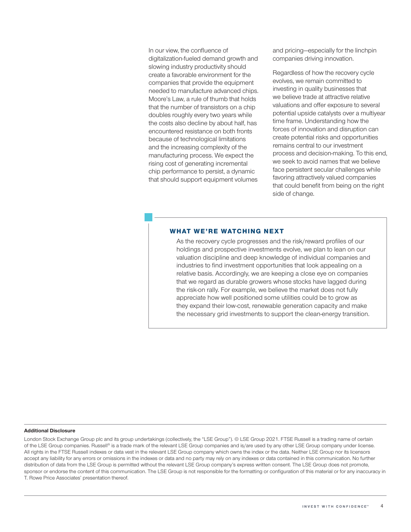In our view, the confluence of digitalization‑fueled demand growth and slowing industry productivity should create a favorable environment for the companies that provide the equipment needed to manufacture advanced chips. Moore's Law, a rule of thumb that holds that the number of transistors on a chip doubles roughly every two years while the costs also decline by about half, has encountered resistance on both fronts because of technological limitations and the increasing complexity of the manufacturing process. We expect the rising cost of generating incremental chip performance to persist, a dynamic that should support equipment volumes

and pricing—especially for the linchpin companies driving innovation.

Regardless of how the recovery cycle evolves, we remain committed to investing in quality businesses that we believe trade at attractive relative valuations and offer exposure to several potential upside catalysts over a multiyear time frame. Understanding how the forces of innovation and disruption can create potential risks and opportunities remains central to our investment process and decision‑making. To this end, we seek to avoid names that we believe face persistent secular challenges while favoring attractively valued companies that could benefit from being on the right side of change.

#### WHAT WE'RE WATCHING NEXT

As the recovery cycle progresses and the risk/reward profiles of our holdings and prospective investments evolve, we plan to lean on our valuation discipline and deep knowledge of individual companies and industries to find investment opportunities that look appealing on a relative basis. Accordingly, we are keeping a close eye on companies that we regard as durable growers whose stocks have lagged during the risk-on rally. For example, we believe the market does not fully appreciate how well positioned some utilities could be to grow as they expand their low‑cost, renewable generation capacity and make the necessary grid investments to support the clean-energy transition.

#### **Additional Disclosure**

London Stock Exchange Group plc and its group undertakings (collectively, the "LSE Group"). © LSE Group 2021. FTSE Russell is a trading name of certain of the LSE Group companies. Russell® is a trade mark of the relevant LSE Group companies and is/are used by any other LSE Group company under license. All rights in the FTSE Russell indexes or data vest in the relevant LSE Group company which owns the index or the data. Neither LSE Group nor its licensors accept any liability for any errors or omissions in the indexes or data and no party may rely on any indexes or data contained in this communication. No further distribution of data from the LSE Group is permitted without the relevant LSE Group company's express written consent. The LSE Group does not promote, sponsor or endorse the content of this communication. The LSE Group is not responsible for the formatting or configuration of this material or for any inaccuracy in T. Rowe Price Associates' presentation thereof.